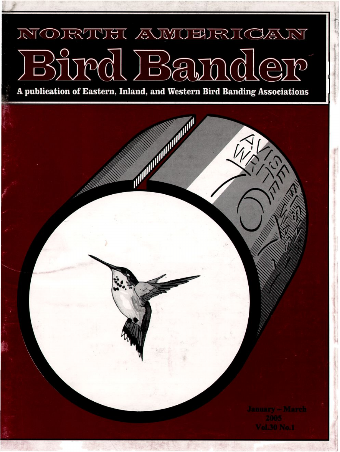## NORTUST AUVUERICAUT pd Bamd  $\sqrt{2}$  $\mathcal{D}% _{M_{1},M_{2}}^{\alpha,\beta}(\varepsilon)$

**A publication of Eastern, Inland, and Western Bird Banding Associations**